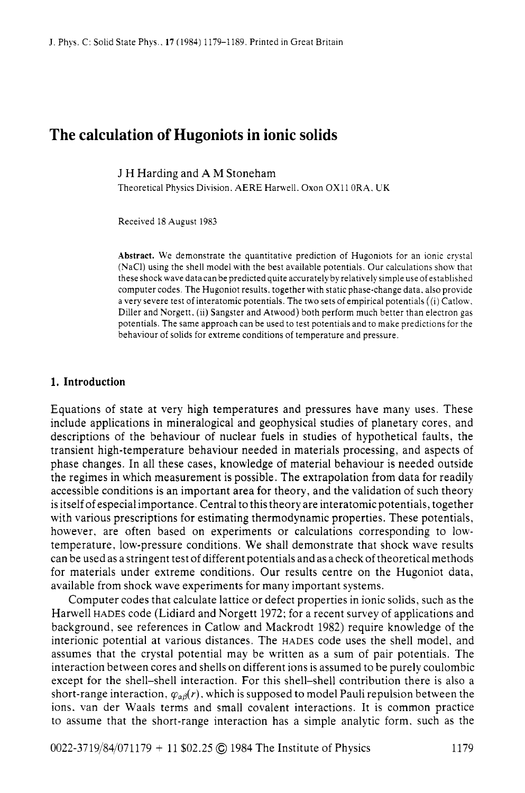# **The calculation of Hugoniots in ionic solids**

J H Harding and **A** M Stoneham

Theoretical Physics Division, AERE Harwell. Oxon OX11 0RA, UK

Received 18 August 1983

**Abstract.** We demonstrate the quantitative prediction of Hugoniots for an ionic crystal (NaCI) using the shell model with the best available potentials. Our calculations show that these shock wave datacan be predicted quite accurately by relatively simple use of established computer codes. The Hugoniot results, together with static phase-change data, also provide a very severe test of interatomic potentials. The two sets of empirical potentials ((i) Catlow. Diller and Norgett. (ii) Sangster and Atwood) both perform much better than electron gas potentials. The same approach can be used to test potentials and to make predictions for the behaviour of solids for extreme conditions of temperature and pressure.

### **1. Introduction**

Equations of state at very high temperatures and pressures have many uses. These include applications in mineralogical and geophysical studies of planetary cores, and descriptions of the behaviour of nuclear fuels in studies of hypothetical faults, the transient high-temperature behaviour needed in materials processing, and aspects of phase changes. In all these cases, knowledge of material behaviour is needed outside the regimes in which measurement is possible. The extrapolation from data for readily accessible conditions is an important area for theory, and the validation of such theory is itself of especial importance. Central to this theory are interatomic potentials, together with various prescriptions for estimating thermodynamic properties. These potentials, however, are often based on experiments or calculations corresponding to lowtemperature, low-pressure conditions. We shall demonstrate that shock wave results can be used as a stringent test of different potentials and as a check of theoretical methods for materials under extreme conditions. Our results centre on the Hugoniot data, available from shock wave experiments for many important systems.

Computer codes that calculate lattice or defect properties in ionic solids, such as the Harwell HADES code (Lidiard and Norgett 1972; for a recent survey of applications and background, see references in Catlow and Mackrodt 1982) require knowledge of the interionic potential at various distances. The HADES code uses the shell model, and assumes that the crystal potential may be written as a sum of pair potentials. The interaction between cores and shells on different ions is assumed to be purely coulombic except for the shell-shell interaction. For this shell-shell contribution there is also a short-range interaction,  $\varphi_{\alpha\beta}(r)$ , which is supposed to model Pauli repulsion between the ions. van der Waals terms and small covalent interactions. It is common practice to assume that the short-range interaction has a simple analytic form. such as the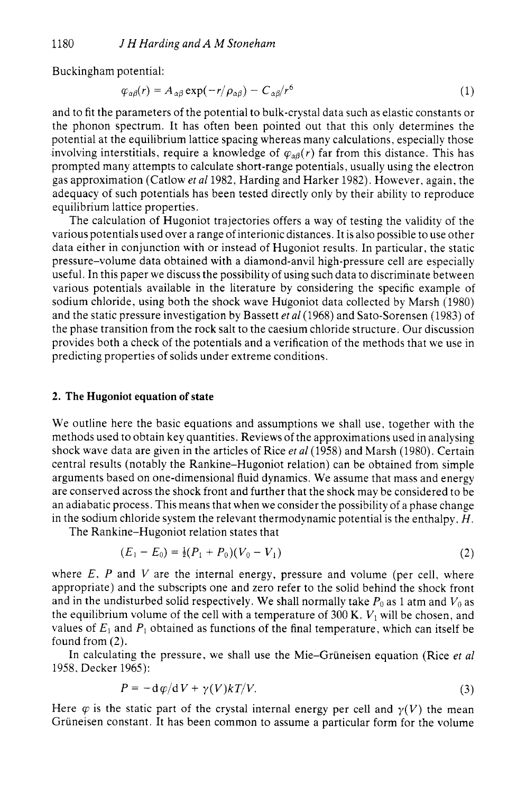Buckingham potential:

$$
\varphi_{\alpha\beta}(r) = A_{\alpha\beta} \exp(-r/\rho_{\alpha\beta}) - C_{\alpha\beta}/r^6 \tag{1}
$$

and to fit the parameters of the potential to bulk-crystal data such as elastic constants or the phonon spectrum. It has often been pointed out that this only determines the potential at the equilibrium lattice spacing whereas many calculations, especially those involving interstitials, require a knowledge of  $\varphi_{\alpha\beta}(r)$  far from this distance. This has prompted many attempts to calculate short-range potentials, usually using the electron gas approximation (Catlow *et a1* 1982, Harding and Harker 1982). However, again, the adequacy of such potentials has been tested directly only by their ability to reproduce equilibrium lattice properties.

The calculation of Hugoniot trajectories offers a way of testing the validity of the various potentials used over a range of interionic distances. It is also possible to use other data either in conjunction with or instead of Hugoniot results. In particular, the static pressure-volume data obtained with a diamond-anvil high-pressure cell are especially useful. In this paper we discuss the possibility of using such data to discriminate between various potentials available in the literature by considering the specific example of sodium chloride, using both the shock wave Hugoniot data collected by Marsh (1980) and the static pressure investigation by Bassett *et a1* (1968) and Sato-Sorensen (1983) of the phase transition from the rock salt to the caesium chloride structure. Our discussion provides both a check of the potentials and a verification of the methods that we use in predicting properties of solids under extreme conditions.

### **2. The Hugoniot equation of state**

We outline here the basic equations and assumptions we shall use, together with the methods used to obtain key quantities. Reviews of the approximations used in analysing shock wave data are given in the articles of Rice *eta1* (1958) and Marsh (1980). Certain central results (notably the Rankine-Hugoniot relation) can be obtained from simple arguments based on one-dimensional fluid dynamics. We assume that mass and energy are conserved across the shock front and further that the shock may be considered to be an adiabatic process. This means that when we consider the possibility of a phase change in the sodium chloride system the relevant thermodynamic potential is the enthalpy, *H.* 

The Rankine-Hugoniot relation states that

$$
(E_1 - E_0) = \frac{1}{2}(P_1 + P_0)(V_0 - V_1)
$$
\n(2)

where  $E$ ,  $P$  and  $V$  are the internal energy, pressure and volume (per cell, where appropriate) and the subscripts one and zero refer to the solid behind the shock front and in the undisturbed solid respectively. We shall normally take  $P_0$  as 1 atm and  $V_0$  as the equilibrium volume of the cell with a temperature of 300 K.  $V_1$  will be chosen, and values of  $E_1$  and  $P_1$  obtained as functions of the final temperature, which can itself be found from (2).

In calculating the pressure, we shall use the Mie-Gruneisen equation (Rice *et a1*  1958, Decker 1965):

$$
P = -\mathrm{d}\,\varphi/\mathrm{d}\,V + \gamma(V)k\,T/V.\tag{3}
$$

Here  $\varphi$  is the static part of the crystal internal energy per cell and  $\gamma(V)$  the mean Grüneisen constant. It has been common to assume a particular form for the volume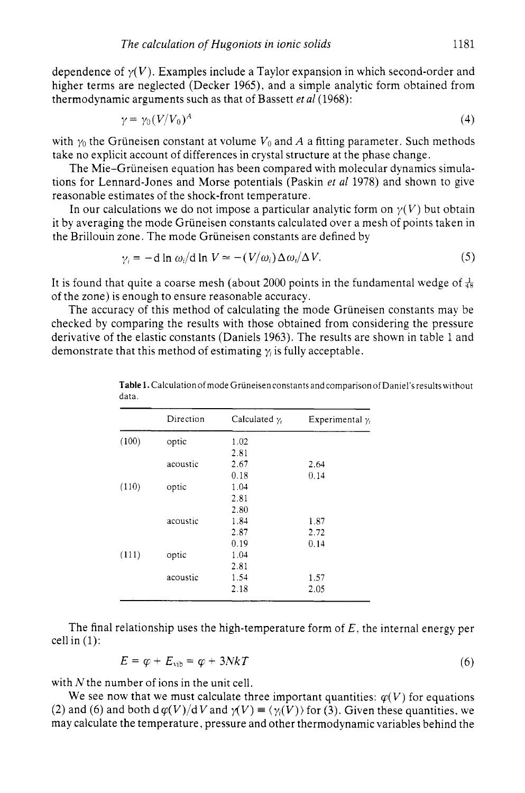dependence of  $\gamma(V)$ . Examples include a Taylor expansion in which second-order and higher terms are neglected (Decker 1965). and a simple analytic form obtained from thermodynamic arguments such as that of Bassett *er a1* (1968):

$$
\gamma = \gamma_0 (V/V_0)^A \tag{4}
$$

with  $\gamma_0$  the Grüneisen constant at volume  $V_0$  and A a fitting parameter. Such methods take no explicit account of differences in crystal structure at the phase change.

The Mie-Grüneisen equation has been compared with molecular dynamics simulations for Lennard-Jones and Morse potentials (Paskin *et a1* 1978) and shown to give reasonable estimates of the shock-front temperature.

In our calculations we do not impose a particular analytic form on  $\gamma(V)$  but obtain it by averaging the mode Gruneisen constants calculated over a mesh of points taken in the Brillouin zone. The mode Griineisen constants are defined by

$$
\gamma_i = -\mathrm{d} \ln \omega_i / \mathrm{d} \ln V \simeq -(V/\omega_i) \Delta \omega_i / \Delta V. \tag{5}
$$

It is found that quite a coarse mesh (about 2000 points in the fundamental wedge of  $\frac{1}{48}$ of the zone) is enough to ensure reasonable accuracy.

The accuracy of this method of calculating the mode Gruneisen constants may be checked by comparing the results with those obtained from considering the pressure derivative of the elastic constants (Daniels 1963). The results are shown in table 1 and demonstrate that this method of estimating  $\gamma_i$  is fully acceptable.

|       | Direction | Calculated $\gamma_i$ | Experimental $\gamma_i$ |
|-------|-----------|-----------------------|-------------------------|
| (100) | optic     | 1.02                  |                         |
|       |           | 2.81                  |                         |
|       | acoustic  | 2.67                  | 2.64                    |
|       |           | 0.18                  | 0.14                    |
| (110) | optic     | 1.04                  |                         |
|       |           | 2.81                  |                         |
|       |           | 2.80                  |                         |
|       | acoustic  | 1.84                  | 1.87                    |
|       |           | 2.87                  | 2.72                    |
|       |           | 0.19                  | 0.14                    |
| (111) | optic     | 1.04                  |                         |
|       |           | 2.81                  |                         |
|       | acoustic  | 1.54                  | 1.57                    |
|       |           | 2.18                  | 2.05                    |

**Table 1.** Calculation of mode Griineisen constants and comparison of Daniel's results without data.

The final relationship uses the high-temperature form of *E.* the internal energy per cell in (1):

$$
E = \varphi + E_{\rm vib} = \varphi + 3NkT \tag{6}
$$

with *N* the number of ions in the unit cell.

We see now that we must calculate three important quantities:  $\varphi(V)$  for equations (2) and (6) and both  $d\varphi(V)/dV$  and  $\gamma(V) = \langle \gamma_i(V) \rangle$  for (3). Given these quantities, we may calculate the temperature, pressure and other thermodynamic variables behind the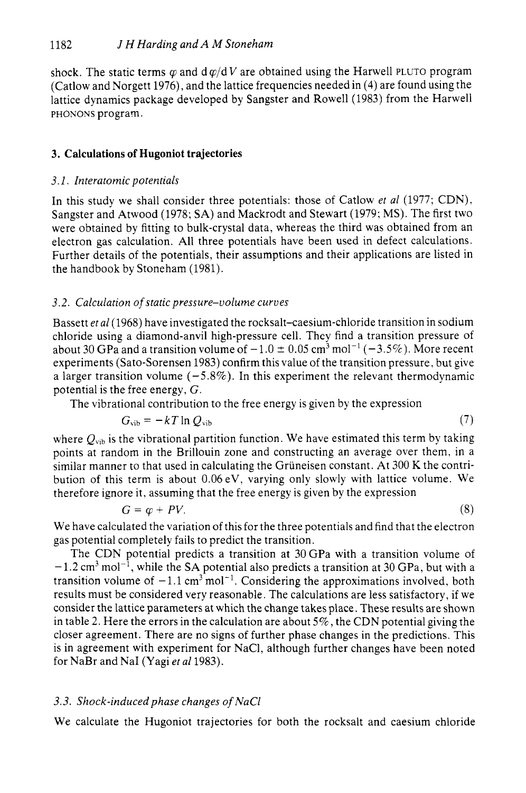shock. The static terms  $\varphi$  and  $d \varphi / dV$  are obtained using the Harwell PLUTO program (Catlow and Norgett 1976), and the lattice frequencies needed in (4) are found using the lattice dynamics package developed by Sangster and Rowel1 (1983) from the Harwell PHONONS program.

# **3. Calculations of Hugoniot trajectories**

### *3.1. Interatomic potentials*

In this study we shall consider three potentials: those of Catlow *et a1* (1977; CDN). Sangster and Atwood (1978; SA) and Mackrodt and Stewart (1979; MS). The first two were obtained by fitting to bulk-crystal data, whereas the third was obtained from an electron gas calculation. All three potentials have been used in defect calculations. Further details of the potentials, their assumptions and their applications are listed in the handbook by Stoneham (1981).

## *3.2. Calculation* of *static pressure-volume curves*

Bassett *et a1* (1968) have investigated the rocksalt-caesium-chloride transition in sodium chloride using a diamond-anvil high-pressure cell. They find a transition pressure of about 30 GPa and a transition volume of  $-1.0 \pm 0.05$  cm<sup>3</sup> mol<sup>-1</sup> ( $-3.5\%$ ). More recent experiments (Sato-Sorensen 1983) confirm this value of the transition pressure, but give a larger transition volume  $(-5.8\%)$ . In this experiment the relevant thermodynamic potential is the free energy, G.

The vibrational contribution to the free energy is given by the expression

$$
G_{\text{vib}} = -kT \ln Q_{\text{vib}} \tag{7}
$$

where  $Q_{\text{vib}}$  is the vibrational partition function. We have estimated this term by taking points at random in the Brillouin zone and constructing an average over them, in a similar manner to that used in calculating the Grüneisen constant. At 300 K the contribution of this term is about 0.06eV, varying only slowly with lattice volume. We therefore ignore it, assuming that the free energy is given by the expression

$$
G = \varphi + PV. \tag{8}
$$

We have calculated the variation of this for the three potentials and find that the electron gas potential completely fails to predict the transition.

The CDN potential predicts a transition at 30GPa with a transition volume of  $-1.2$  cm<sup>3</sup> mol<sup>-1</sup>, while the SA potential also predicts a transition at 30 GPa, but with a transition volume of  $-1.1 \text{ cm}^3 \text{ mol}^{-1}$ . Considering the approximations involved, both results must be considered very reasonable. The calculations are less satisfactory, if we consider the lattice parameters at which the change takes place. These results are shown in table 2. Here the errors in the calculation are about *5%* , the CDN potential giving the closer agreement. There are no signs of further phase changes in the predictions. This is in agreement with experiment for NaCl, although further changes have been noted for NaBr and NaI (Yagi *et a1* 1983).

### *3.3. Shock-inducedphase changes of NaCl*

We calculate the Hugoniot trajectories for both the rocksalt and caesium chloride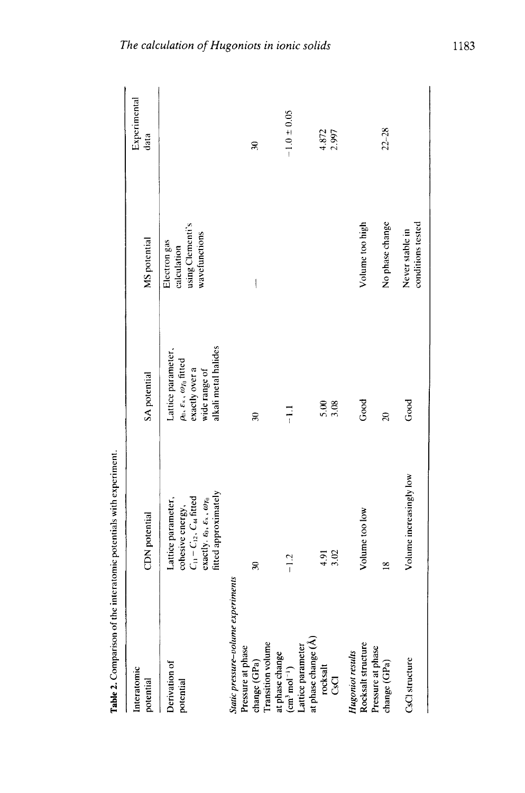| Interatomic<br>potential                                                                                                | CDN potential                                                                                                                                                       | SA potential                                                                                                                        | MS potential                                                     | Experimental<br>data |
|-------------------------------------------------------------------------------------------------------------------------|---------------------------------------------------------------------------------------------------------------------------------------------------------------------|-------------------------------------------------------------------------------------------------------------------------------------|------------------------------------------------------------------|----------------------|
| Derivation of<br>potential                                                                                              | fitted approximately<br>$C_{11} - C_{12}$ , $C_{44}$ fitted<br>Lattice parameter,<br>exactly. $\epsilon_0, \, \epsilon_{\ast}, \, \omega_{T_0}$<br>cohesive energy, | alkali metal halides<br>Lattice parameter,<br>$\rho_0$ , $\varepsilon$ , , $\omega_{T_0}$ fitted<br>exactly over a<br>wide range of | using Clementi's<br>wavefunctions<br>Electron gas<br>calculation |                      |
| static pressure-volume experiments<br>change (GPa)<br>Transition volume<br>Pressure at phase                            | $\mathcal{E}$                                                                                                                                                       | $\mathbf{r}$                                                                                                                        | I                                                                | R                    |
| at phase change<br>(cm <sup>3</sup> mol <sup>-1</sup> )<br>Lattice parameter<br>at phase change (Å)<br>rocksalt<br>CsCl | $-1.2$                                                                                                                                                              | $\frac{11}{1}$                                                                                                                      |                                                                  | $-1.0 \pm 0.05$      |
|                                                                                                                         | 3.02<br>4.91                                                                                                                                                        | 5.08                                                                                                                                |                                                                  | 4.872<br>2.997       |
| <b>Hugoniot results</b>                                                                                                 | Volume too low                                                                                                                                                      | Good                                                                                                                                | Volume too high                                                  |                      |
| Rocksalt structure<br>Pressure at phase<br>change (GPa)                                                                 | $\overline{8}$                                                                                                                                                      | $\overline{z}$                                                                                                                      | No phase change                                                  | $22 - 28$            |
| CsCl structure                                                                                                          | Volume increasingly low                                                                                                                                             | Good                                                                                                                                | conditions tested<br>Never stable in                             |                      |

Table 2. Comparison of the interatomic potentials with experiment.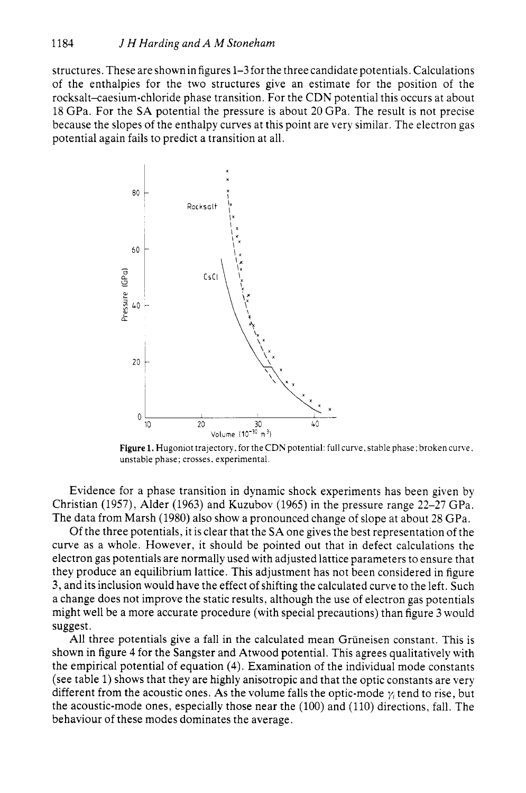structures. These are shown in figures 1-3 for the three candidate potentials. Calculations of the enthalpies for the two structures give an estimate for the position of the rocksalt-caesium-chloride phase transition. For the CDN potential this occurs at about 18 GPa. For the SA potential the pressure is about 20 GPa. The result is not precise because the slopes of the enthalpy curves at this point are very similar. The electron gas potential again fails to predict a transition at all.



Figure 1. Hugoniot trajectory, for the CDN potential: full curve, stable phase; broken curve, unstable phase; crosses, experimental.

Evidence for a phase transition in dynamic shock experiments has been given by Christian (1957), Alder (1963) and Kuzubov (1965) in the pressure range 22-27 GPa. The data from Marsh (1980) also show a pronounced change of slope at about 28 GPa.

Of the three potentials, it is clear that thc SA one gives the best representation of the curve as a whole. However, it should be pointed out that in defect calculations the electron gas potentials are normally used with adjusted lattice parameters to ensure that they produce an equilibrium lattice. This adjustment has not been considered in figure 3, and its inclusion would have the effect of shifting the calculated curve to the left. Such a change does not improve the static results, although the use of electron gas potentials might well be a more accurate procedure (with special precautions) than figure 3 would suggest.

All three potentials give a fall in the calculated mean Gruneisen constant. This is shown in figure 4 for the Sangster and Atwood potential. This agrees qualitatively with the empirical potential of equation (4). Examination of the individual mode constants (see table 1) shows that they are highly anisotropic and that the optic constants are very different from the acoustic ones. As the volume falls the optic-mode  $\gamma_i$  tend to rise, but the acoustic-mode ones, especially those near the (100) and (110) directions, fall. The behaviour of these modes dominates the average.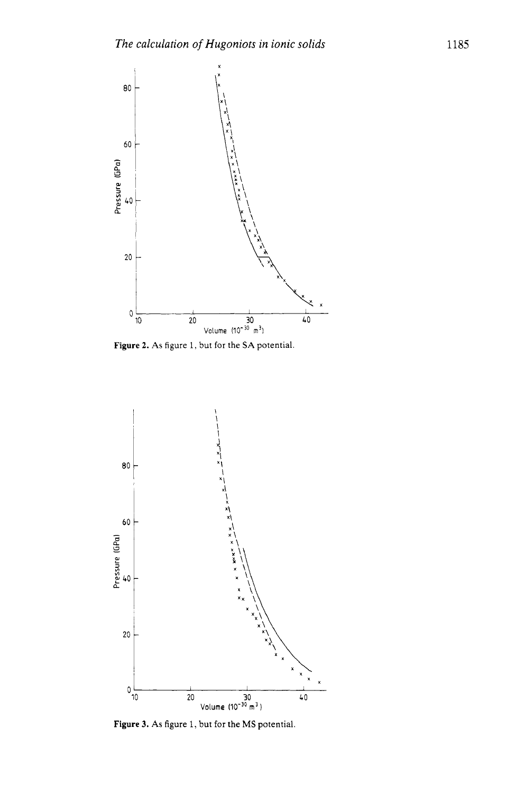

**Figure 2. As** figure 1, but for the **SA** potential.



**Figure 3. As** figure 1, but for the MS potential.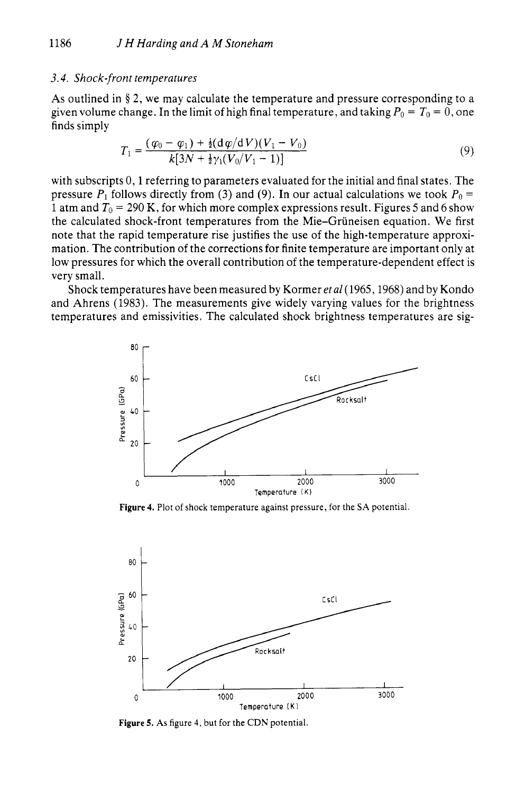### *3.4. Shock-front temperatures*

**As** outlined in **8** *2,* we may calculate the temperature and pressure corresponding to a given volume change. In the limit of high final temperature, and taking  $P_0 = T_0 = 0$ , one finds simply

$$
T_1 = \frac{(\varphi_0 - \varphi_1) + \frac{1}{2}(\mathrm{d}\varphi/\mathrm{d}V)(V_1 - V_0)}{k[3N + \frac{1}{2}\gamma_1(V_0/V_1 - 1)]} \tag{9}
$$

with subscripts 0, 1 referring to parameters evaluated for the initial and final states. The pressure  $P_1$  follows directly from (3) and (9). In our actual calculations we took  $P_0 =$ 1 atm and  $T_0 = 290$  K, for which more complex expressions result. Figures 5 and 6 show the calculated shock-front temperatures from the Mie-Gruneisen equation. We first note that the rapid temperature rise justifies the use of the high-temperature approximation. The contribution of the corrections for finite temperature are important only at low pressures for which the overall contribution of the temperature-dependent effect is very small.

Shock temperatures have been measured by Kormer *et al(l965,1968)* and by Kondo and Ahrens *(1983).* The measurements give widely varying values for the brightness temperatures and emissivities. The calculated shock brightness temperatures are sig-



Figure 4. Plot of shock temperature against pressure, for the SA potential.



**Figure 5. As** figure **4,** but for the CDN potential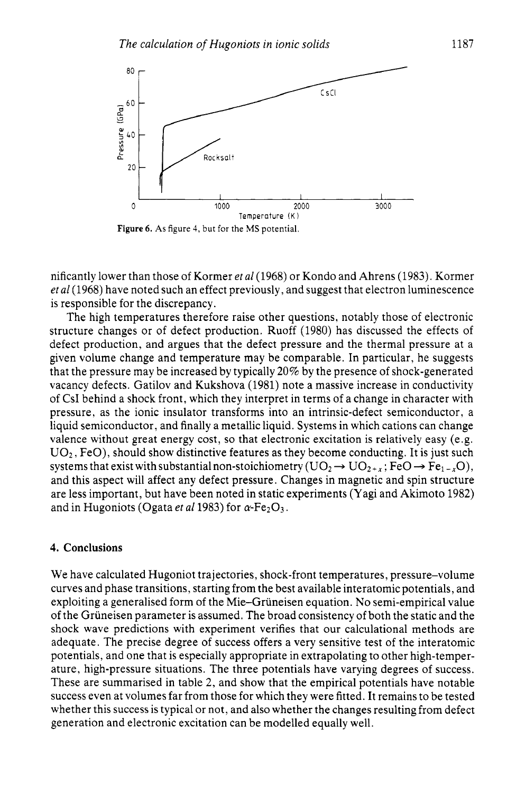

**Figure** *6.* **As** figure **4,** but for the MS potential.

nificantly lower than those of Kormer *et af* (1968) or Kondo and Ahrens (1983). Kormer *et a1* (1968) have noted such an effect previously, and suggest that electron luminescence is responsible for the discrepancy.

The high temperatures therefore raise other questions, notably those of electronic structure changes or of defect production. Ruoff (1980) has discussed the effects of defect production, and argues that the defect pressure and the thermal pressure at a given volume change and temperature may be comparable. In particular, he suggests that the pressure may be increased by typically 20% by the presence of shock-generated vacancy defects. Gatilov and Kukshova (1981) note a massive increase in conductivity of CsI behind a shock front, which they interpret in terms of a change in character with pressure, as the ionic insulator transforms into an intrinsic-defect semiconductor, a liquid semiconductor, and finally a metallic liquid. Systems in which cations can change valence without great energy cost, so that electronic excitation is relatively easy (e.g.  $UO<sub>2</sub>$ , FeO), should show distinctive features as they become conducting. It is just such systems that exist with substantial non-stoichiometry  $(UO_2 \rightarrow UO_{2+r}; FeO \rightarrow Fe_{1-r}O)$ , and this aspect will affect any defect pressure. Changes in magnetic and spin structure are less important, but have been noted in static experiments (Yagi and Akimoto 1982) and in Hugoniots (Ogata *et al* 1983) for  $\alpha$ -Fe<sub>2</sub>O<sub>3</sub>.

### **4. Conclusions**

We have calculated Hugoniot trajectories, shock-front temperatures, pressure-volume curves and phase transitions, starting from the best available interatomic potentials, and exploiting a generalised form of the Mie-Gruneisen equation. No semi-empirical value of the Gruneisen parameter is assumed. The broad consistency of both the static and the shock wave predictions with experiment verifies that our calculational methods are adequate. The precise degree of success offers a very sensitive test of the interatomic potentials, and one that is especially appropriate in extrapolating to other high-temperature, high-pressure situations. The three potentials have varying degrees of success. These are summarised in table 2, and show that the empirical potentials have notable success even at volumes far from those for which they were fitted. It remains to be tested whether this success is typical or not, and also whether the changes resulting from defect generation and electronic excitation can be modelled equally well.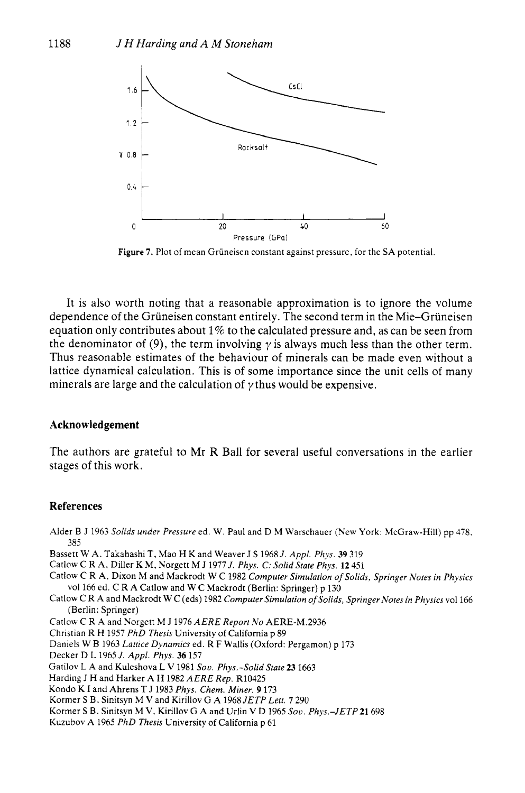

Figure 7. Plot of mean Grüneisen constant against pressure, for the SA potential.

It is also worth noting that a reasonable approximation is to ignore the volume dependence of the Grüneisen constant entirely. The second term in the Mie-Grüneisen equation only contributes about 1% to the calculated pressure and, as can be seen from the denominator of (9), the term involving  $\gamma$  is always much less than the other term. Thus reasonable estimates of the behaviour of minerals can be made even without a lattice dynamical calculation. This **is** of some importance since the unit cells of many minerals are large and the calculation of  $\gamma$  thus would be expensive.

#### **Acknowledgement**

The authors are grateful to Mr R Ball for several useful conversations in the earlier stages of this work.

#### **References**

Alder B J *1963 Solids under Pressure* ed. W. Paul and D M Warschauer (New York: McGraw-Hill) pp *478. 385* 

- Bassett W A. Takahashi T, Mao H K and Weaver J **S** *19681. Appl. Phys.* **39** *319*
- Catlow C R A, Diller K M, Xorgett M J *1977* J. *Phys.* C: *Solid State Phys. 12 451*
- Catlow *C R* A, Dixon M and Mackrodt W C *1982 Computer Simulation of Solids, Springer Notes in Physics*  vol *166* ed. C RA Catlow and W C Mackrodt (Berlin: Springer) p *130*
- Catlow C R A and Mackrodt W C (eds) *1982 Computer Simulation of Solids, Springer Notes in Physics vol166*  (Berlin: Springer)
- Catlow C R A and Norgett M J *1976AERE Report No AERE-M.2936*
- Christian R H *1957 PhD Thesis* University of California p *89*
- Daniels W B *1963 Lattice Dynamics* ed. R F Wallis (Oxford: Pergamon) p *173*
- Decker D L *1965 J. Appl. Phys.* **36** *157*
- Gatilov L A and Kuleshova L **V** *1981 Sou. Phys.-Solid State* **23** *1663*
- Harding **J** H and Harker AH *1982AERE Rep.* R10425
- Kondo K I and Ahrens T J *1983 Phys. Chem. Miner.* **9** *173*
- Kormer **S** B. Sinitsyn M **V** and Kirillov G A *1968 JETP Lett.* **7** 290
- Kormer **S** B. Sinitsyn M **V.** Kirillov G A and Urlin **V** D *1965 Sou. Phys.-JETP21698*
- Kuzubov A *1965 PhD Thesis* University of California p *61*